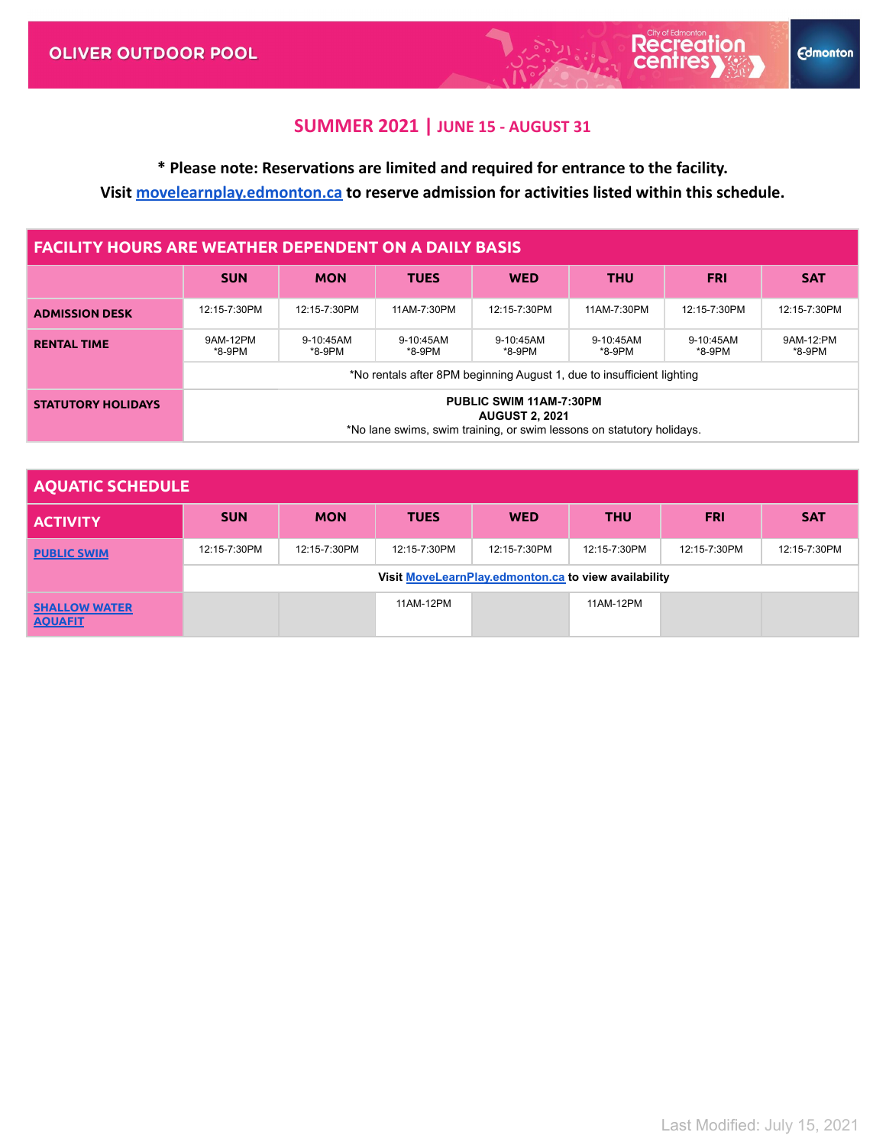**Recreation** 

**Edmonton** 

# **\* Please note: Reservations are limited and required for entrance to the facility.**

**Visit [movelearnplay.edmonton.ca](https://movelearnplay.edmonton.ca/COE/public/category/browse/RECADMISSION) to reserve admission for activities listed within this schedule.**

#### **FACILITY HOURS ARE WEATHER DEPENDENT ON A DAILY BASIS**

|                           | <b>SUN</b>                                                                                                                       | <b>MON</b>          | <b>TUES</b>         | <b>WED</b>          | <b>THU</b>          | <b>FRI</b>          | <b>SAT</b>          |
|---------------------------|----------------------------------------------------------------------------------------------------------------------------------|---------------------|---------------------|---------------------|---------------------|---------------------|---------------------|
| <b>ADMISSION DESK</b>     | 12:15-7:30PM                                                                                                                     | 12:15-7:30PM        | 11AM-7:30PM         | 12:15-7:30PM        | 11AM-7:30PM         | 12:15-7:30PM        | 12:15-7:30PM        |
| <b>RENTAL TIME</b>        | 9AM-12PM<br>*8-9PM                                                                                                               | 9-10:45AM<br>*8-9PM | 9-10:45AM<br>*8-9PM | 9-10:45AM<br>*8-9PM | 9-10:45AM<br>*8-9PM | 9-10:45AM<br>*8-9PM | 9AM-12:PM<br>*8-9PM |
|                           | *No rentals after 8PM beginning August 1, due to insufficient lighting                                                           |                     |                     |                     |                     |                     |                     |
| <b>STATUTORY HOLIDAYS</b> | <b>PUBLIC SWIM 11AM-7:30PM</b><br><b>AUGUST 2, 2021</b><br>*No lane swims, swim training, or swim lessons on statutory holidays. |                     |                     |                     |                     |                     |                     |

| <b>AQUATIC SCHEDULE</b>                |                                                      |              |              |              |              |              |              |
|----------------------------------------|------------------------------------------------------|--------------|--------------|--------------|--------------|--------------|--------------|
| <b>ACTIVITY</b>                        | <b>SUN</b>                                           | <b>MON</b>   | <b>TUES</b>  | <b>WED</b>   | <b>THU</b>   | <b>FRI</b>   | <b>SAT</b>   |
| <b>PUBLIC SWIM</b>                     | 12:15-7:30PM                                         | 12:15-7:30PM | 12:15-7:30PM | 12:15-7:30PM | 12:15-7:30PM | 12:15-7:30PM | 12:15-7:30PM |
|                                        | Visit MoveLearnPlay.edmonton.ca to view availability |              |              |              |              |              |              |
| <b>SHALLOW WATER</b><br><b>AOUAFIT</b> |                                                      |              | 11AM-12PM    |              | 11AM-12PM    |              |              |